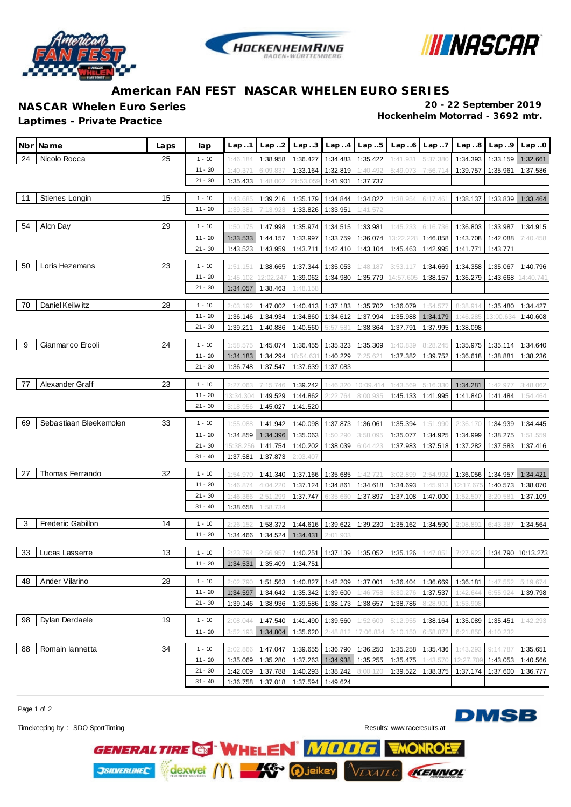





## **American FAN FEST NASCAR WHELEN EURO SERIES**

**Laptimes - Private Practice** 

**NASCAR Whelen Euro Series 20 - 22 September 2019**

|    | Nbr Name               | Laps | lap       | Lap.1                | Lap.2                      |           |                   | $Lap3$ $Lap4$ $Lap5$       |           | $Lap.6$ $Lap.7$ |           | Lap.8 Lap.9 | Lap.0     |
|----|------------------------|------|-----------|----------------------|----------------------------|-----------|-------------------|----------------------------|-----------|-----------------|-----------|-------------|-----------|
| 24 | Nicolo Rocca           | 25   | $1 - 10$  | 1:46.184             | 1:38.958                   | 1:36.427  | 1:34.483          | 1:35.422                   | 1:41.931  | 5:37.380        | 1:34.393  | 1:33.159    | 1:32.661  |
|    |                        |      | $11 - 20$ | 1:40.371             | 6:09.837                   | 1:33.164  | 1:32.819          | 1:40.492                   | 5:49.073  | 7:56.714        | 1:39.757  | 1:35.961    | 1:37.586  |
|    |                        |      | $21 - 30$ | 1:35.433             | 1:48.002                   | 21:53.059 | 1:41.901          | 1:37.737                   |           |                 |           |             |           |
| 11 | Stienes Longin         | 15   | $1 - 10$  | 1:43.685             | 1:39.216                   | 1:35.179  | 1:34.844          | 1:34.822                   | 1:38.954  | 6:17.461        | 1:38.137  | 1:33.839    | 1:33.464  |
|    |                        |      | $11 - 20$ | 1:39.381             | 7:13.923                   | 1:33.826  | 1:33.951          | 1:41.572                   |           |                 |           |             |           |
|    |                        |      |           |                      |                            |           |                   |                            |           |                 |           |             |           |
| 54 | Alon Day               | 29   | $1 - 10$  | 1:50.175             | 1:47.998                   | 1:35.974  | 1:34.515          | 1:33.981                   | 1:45.233  | 6:16.736        | 1:36.803  | 1:33.987    | 1:34.915  |
|    |                        |      | $11 - 20$ | 1:33.533             | 1:44.157                   | 1:33.997  | 1:33.759          | 1:36.074                   | 13:22.228 | 1:46.858        | 1:43.708  | 1:42.088    | 7:40.458  |
|    |                        |      | $21 - 30$ | 1:43.523             | 1:43.959                   | 1:43.711  | 1:42.410          | 1:43.104                   | 1:45.463  | 1:42.995        | 1:41.771  | 1:43.771    |           |
| 50 | Loris Hezemans         | 23   | $1 - 10$  | 1:51.151             | 1:38.665                   | 1:37.344  | 1:35.053          | 1:48.18                    | 3:53.117  | 1:34.669        | 1:34.358  | 1:35.067    | 1:40.796  |
|    |                        |      | $11 - 20$ | 1:45.102             | 12:02.247                  | 1:39.062  | 1:34.980          | 1:35.779                   | 14:57.605 | 1:38.157        | 1:36.279  | 1:43.668    | 14:40.741 |
|    |                        |      | $21 - 30$ | 1:34.057             | 1:38.463                   | 1:48.158  |                   |                            |           |                 |           |             |           |
| 70 | Daniel Keilw itz       | 28   | $1 - 10$  | 2:03.192             | 1:47.002                   |           |                   | 1:40.413 1:37.183 1:35.702 | 1:36.079  | 1:54.577        | 8:38.914  | 1:35.480    | 1:34.427  |
|    |                        |      | $11 - 20$ | 1:36.146             | 1:34.934                   | 1:34.860  |                   | 1:34.612 1:37.994          | 1:35.988  | 1:34.179        | 1:46.285  | 13:00.634   | 1:40.608  |
|    |                        |      | $21 - 30$ | 1:39.211             | 1:40.886                   | 1:40.560  | 5:57.581          | 1:38.364                   | 1:37.791  | 1:37.995        | 1:38.098  |             |           |
|    |                        |      |           |                      |                            |           |                   |                            |           |                 |           |             |           |
| 9  | Gianmarco Ercoli       | 24   | $1 - 10$  | 1:58.575             | 1:45.074                   | 1:36.455  | 1:35.323          | 1:35.309                   | 1:40.839  | 8:28.245        | 1:35.975  | 1:35.114    | 1:34.640  |
|    |                        |      | $11 - 20$ | 1:34.183             | 1:34.294                   | 18:54.631 | 1:40.229          | 7:25.621                   | 1:37.382  | 1:39.752        | 1:36.618  | 1:38.881    | 1:38.236  |
|    |                        |      | $21 - 30$ | 1:36.748             | 1:37.547                   | 1:37.639  | 1:37.083          |                            |           |                 |           |             |           |
| 77 | Alexander Graff        | 23   | $1 - 10$  | 2:27.063             | 7:15.746                   | 1:39.242  | 1:46.320          | 10:09.414                  | 1:43.569  | 5:16.330        | 1:34.281  | 1:42.97     | 3:48.062  |
|    |                        |      | $11 - 20$ | 13:34.304            | 1:49.529                   | 1:44.862  | 2:22.764          | 8:00.935                   | 1:45.133  | 1:41.995        | 1:41.840  | 1:41.484    | 1:54.464  |
|    |                        |      | $21 - 30$ | 3:18.956             | 1:45.027                   | 1:41.520  |                   |                            |           |                 |           |             |           |
|    |                        |      |           |                      |                            |           |                   |                            |           |                 |           |             |           |
| 69 | Sebastiaan Bleekemolen | 33   | $1 - 10$  | 1:55.088             | 1:41.942                   | 1:40.098  | 1:37.873          | 1:36.061                   | 1:35.394  | 1:51.990        | 2:36.170  | 1:34.939    | 1:34.445  |
|    |                        |      | $11 - 20$ | 1:34.859             | 1:34.396                   | 1:35.063  | 1:50.290          | 3:58.095                   | 1:35.077  | 1:34.925        | 1:34.999  | 1:38.275    | 1:51.559  |
|    |                        |      | $21 - 30$ | 5:38.256             | 1:41.754                   | 1:40.202  | 1:38.039          | 6:04.423                   | 1:37.983  | 1:37.518        | 1:37.282  | 1:37.583    | 1:37.416  |
|    |                        |      | $31 - 40$ | 1:37.581             | 1:37.873                   | 2:03.407  |                   |                            |           |                 |           |             |           |
| 27 | Thomas Ferrando        | 32   | $1 - 10$  | 1:54.970             | 1:41.340                   | 1:37.166  | 1:35.685          | 1:42.721                   | 3:02.899  | 2:54.992        | 1:36.056  | 1:34.957    | 1:34.421  |
|    |                        |      | $11 - 20$ | 1:46.874             | 4:04.220                   | 1:37.124  | 1:34.861          | 1:34.618                   | 1:34.693  | 1:45.913        | 12:17.675 | 1:40.573    | 1:38.070  |
|    |                        |      | $21 - 30$ | 1:46.366             | 2:51.299                   | 1:37.747  | 6:35.660          | 1:37.897                   | 1:37.108  | 1:47.000        | 1:52.507  | 3:20.581    | 1:37.109  |
|    |                        |      | $31 - 40$ | 1:38.658             | 1:58.734                   |           |                   |                            |           |                 |           |             |           |
| 3  | Frederic Gabillon      | 14   | $1 - 10$  |                      | 1:58.372                   |           | 1:44.616 1:39.622 | 1:39.230                   | 1:35.162  | 1:34.590        | 2:08.891  | 6:43.387    | 1:34.564  |
|    |                        |      | $11 - 20$ | 2:26.152<br>1:34.466 | 1:34.524                   | 1:34.431  | 2:01.903          |                            |           |                 |           |             |           |
|    |                        |      |           |                      |                            |           |                   |                            |           |                 |           |             |           |
| 33 | Lucas Lasserre         | 13   | $1 - 10$  | 2:23.794             | 2:56.957                   | 1:40.251  | 1:37.139          | 1:35.052                   | 1:35.126  | 1:47.851        | 7:27.923  | 1:34.790    | 10:13.273 |
|    |                        |      | $11 - 20$ |                      | 1:34.531 1:35.409 1:34.751 |           |                   |                            |           |                 |           |             |           |
| 48 | Ander Vilarino         | 28   | $1 - 10$  | 2:02.790             | 1:51.563                   | 1:40.827  | 1:42.209          | 1:37.001                   | 1:36.404  | 1:36.669        | 1:36.181  | 1:47.552    | 5:19.674  |
|    |                        |      | $11 - 20$ | 1:34.597             | 1:34.642                   | 1:35.342  | 1:39.600          | 1:46.758                   | 6:30.276  | 1:37.537        | 1:42.644  | 6:55.924    | 1:39.798  |
|    |                        |      | $21 - 30$ | 1:39.146             | 1:38.936                   | 1:39.586  | 1:38.173          | 1:38.657                   | 1:38.786  | 8:28.901        | 1:53.908  |             |           |
| 98 | Dylan Derdaele         | 19   |           |                      |                            |           |                   |                            |           |                 |           |             |           |
|    |                        |      | $1 - 10$  | 2:08.044             | 1:47.540                   | 1:41.490  | 1:39.560          | 1:52.609                   | 5:12.955  | 1:38.164        | 1:35.089  | 1:35.451    | 1:42.293  |
|    |                        |      | $11 - 20$ | 3:52.193             | 1:34.804                   | 1:35.620  | 2:48.812          | 7:06.83                    | 3:10.150  | 6:58.872        | 6:21.850  | 4:10.232    |           |
| 88 | Romain lannetta        | 34   | $1 - 10$  | 2:02.866             | 1:47.047                   | 1:39.655  | 1:36.790          | 1:36.250                   | 1:35.258  | 1:35.436        | 1:43.293  | 9:14.787    | 1:35.651  |
|    |                        |      | $11 - 20$ | 1:35.069             | 1:35.280                   | 1:37.263  | 1:34.938          | 1:35.255                   | 1:35.475  | 1:43.570        | 12:27.709 | 1:43.053    | 1:40.566  |
|    |                        |      | $21 - 30$ | 1:42.009             | 1:37.788                   | 1:40.293  | 1:38.242          | 8:00.120                   | 1:39.522  | 1:38.375        | 1:37.174  | 1:37.600    | 1:36.777  |
|    |                        |      | $31 - 40$ | 1:36.758             | 1:37.018                   | 1:37.594  | 1:49.624          |                            |           |                 |           |             |           |

GENERAL TIRE & WHELEN MOOG

dexwel ( ) - K<sup>o</sup> ( ) jeikey

Page 1 of 2

**JSILVERLINEC** 

**DMSB** 

Timekeeping by : SDO SportTiming Results:<www.raceresults.at>

**EXATE** 

Ω

г

**KENNOL**